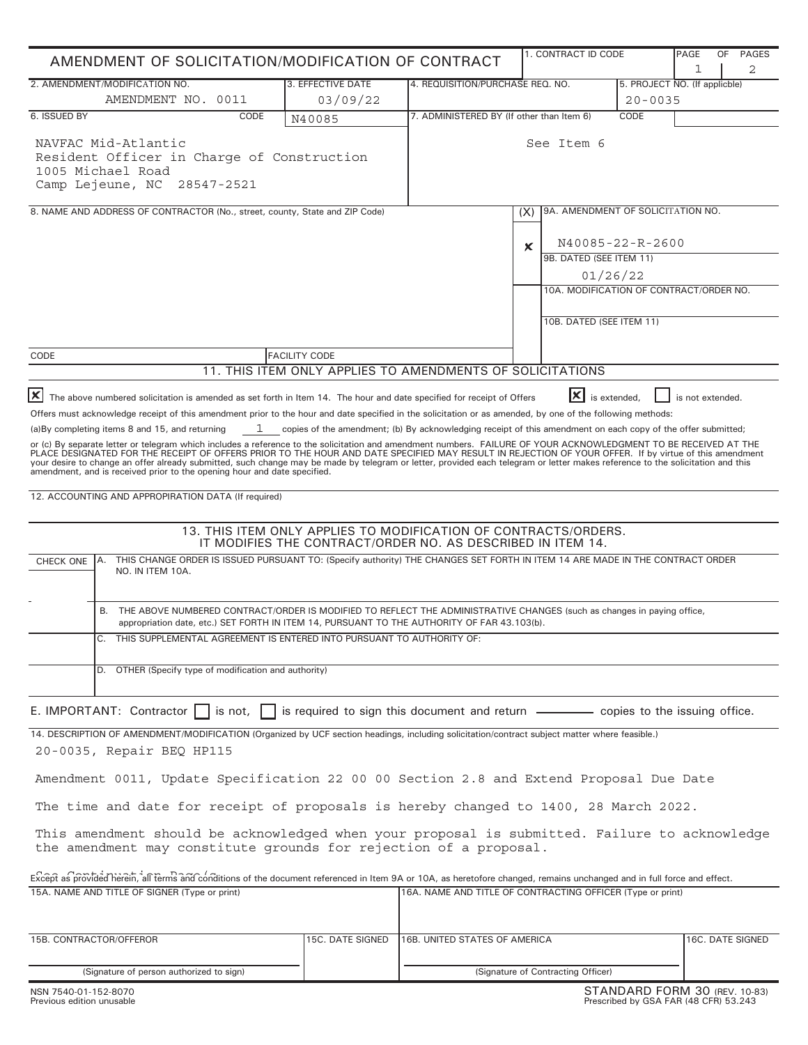| AMENDMENT OF SOLICITATION/MODIFICATION OF CONTRACT                                                                                                                                                                                                                                                                                                                                                                                                                                                                                                                                                                                                                                                                                                                                                                                                                                                                                                                                                                                                                                                                                       |                               |                                                                                                                                |                                              | 1. CONTRACT ID CODE<br>PAGE                                     |                                                             |   | <b>PAGES</b><br>0F<br>2 |
|------------------------------------------------------------------------------------------------------------------------------------------------------------------------------------------------------------------------------------------------------------------------------------------------------------------------------------------------------------------------------------------------------------------------------------------------------------------------------------------------------------------------------------------------------------------------------------------------------------------------------------------------------------------------------------------------------------------------------------------------------------------------------------------------------------------------------------------------------------------------------------------------------------------------------------------------------------------------------------------------------------------------------------------------------------------------------------------------------------------------------------------|-------------------------------|--------------------------------------------------------------------------------------------------------------------------------|----------------------------------------------|-----------------------------------------------------------------|-------------------------------------------------------------|---|-------------------------|
| 2. AMENDMENT/MODIFICATION NO.<br>AMENDMENT NO. 0011                                                                                                                                                                                                                                                                                                                                                                                                                                                                                                                                                                                                                                                                                                                                                                                                                                                                                                                                                                                                                                                                                      | 3. EFFECTIVE DATE<br>03/09/22 | 4. REQUISITION/PURCHASE REQ. NO.                                                                                               | 5. PROJECT NO. (If applicble)<br>$20 - 0035$ |                                                                 |                                                             | 1 |                         |
| 6. ISSUED BY<br>CODE                                                                                                                                                                                                                                                                                                                                                                                                                                                                                                                                                                                                                                                                                                                                                                                                                                                                                                                                                                                                                                                                                                                     | N40085                        | 7. ADMINISTERED BY (If other than Item 6)                                                                                      | CODE                                         |                                                                 |                                                             |   |                         |
| NAVFAC Mid-Atlantic<br>Resident Officer in Charge of Construction<br>1005 Michael Road<br>Camp Lejeune, NC 28547-2521                                                                                                                                                                                                                                                                                                                                                                                                                                                                                                                                                                                                                                                                                                                                                                                                                                                                                                                                                                                                                    |                               |                                                                                                                                | See Item 6                                   |                                                                 |                                                             |   |                         |
| 8. NAME AND ADDRESS OF CONTRACTOR (No., street, county, State and ZIP Code)                                                                                                                                                                                                                                                                                                                                                                                                                                                                                                                                                                                                                                                                                                                                                                                                                                                                                                                                                                                                                                                              |                               |                                                                                                                                | 9A. AMENDMENT OF SOLICITATION NO.<br>(X)     |                                                                 |                                                             |   |                         |
|                                                                                                                                                                                                                                                                                                                                                                                                                                                                                                                                                                                                                                                                                                                                                                                                                                                                                                                                                                                                                                                                                                                                          |                               |                                                                                                                                | $\boldsymbol{\mathsf{x}}$                    | 9B. DATED (SEE ITEM 11)<br>01/26/22<br>10B. DATED (SEE ITEM 11) | N40085-22-R-2600<br>10A. MODIFICATION OF CONTRACT/ORDER NO. |   |                         |
| CODE                                                                                                                                                                                                                                                                                                                                                                                                                                                                                                                                                                                                                                                                                                                                                                                                                                                                                                                                                                                                                                                                                                                                     | <b>FACILITY CODE</b>          |                                                                                                                                |                                              |                                                                 |                                                             |   |                         |
|                                                                                                                                                                                                                                                                                                                                                                                                                                                                                                                                                                                                                                                                                                                                                                                                                                                                                                                                                                                                                                                                                                                                          |                               | 11. THIS ITEM ONLY APPLIES TO AMENDMENTS OF SOLICITATIONS                                                                      |                                              |                                                                 |                                                             |   |                         |
| or (c) By separate letter or telegram which includes a reference to the solicitation and amendment numbers. FAILURE OF YOUR ACKNOWLEDGMENT TO BE RECEIVED AT THE<br>PLACE DESIGNATED FOR THE RECEIPT OF OFFERS PRIOR TO THE HOUR AND DATE SPECIFIED MAY RESULT IN REJECTION OF YOUR OFFER. If by virtue of this amendment<br>your desire to change an offer already submitted, such change may be made by telegram or letter, provided each telegram or letter makes reference to the solicitation and this<br>amendment, and is received prior to the opening hour and date specified.<br>12. ACCOUNTING AND APPROPIRATION DATA (If required)<br>THIS CHANGE ORDER IS ISSUED PURSUANT TO: (Specify authority) THE CHANGES SET FORTH IN ITEM 14 ARE MADE IN THE CONTRACT ORDER<br>IA.<br><b>CHECK ONE</b><br>NO. IN ITEM 10A.<br>THE ABOVE NUMBERED CONTRACT/ORDER IS MODIFIED TO REFLECT THE ADMINISTRATIVE CHANGES (such as changes in paying office,<br>В.<br>appropriation date, etc.) SET FORTH IN ITEM 14, PURSUANT TO THE AUTHORITY OF FAR 43.103(b).<br>C. THIS SUPPLEMENTAL AGREEMENT IS ENTERED INTO PURSUANT TO AUTHORITY OF: |                               | 13. THIS ITEM ONLY APPLIES TO MODIFICATION OF CONTRACTS/ORDERS.<br>IT MODIFIES THE CONTRACT/ORDER NO. AS DESCRIBED IN ITEM 14. |                                              |                                                                 |                                                             |   |                         |
| D. OTHER (Specify type of modification and authority)                                                                                                                                                                                                                                                                                                                                                                                                                                                                                                                                                                                                                                                                                                                                                                                                                                                                                                                                                                                                                                                                                    |                               |                                                                                                                                |                                              |                                                                 |                                                             |   |                         |
| E. IMPORTANT: Contractor $\Box$ is not, $\Box$ is required to sign this document and return $\Box$ copies to the issuing office.                                                                                                                                                                                                                                                                                                                                                                                                                                                                                                                                                                                                                                                                                                                                                                                                                                                                                                                                                                                                         |                               |                                                                                                                                |                                              |                                                                 |                                                             |   |                         |
| 14. DESCRIPTION OF AMENDMENT/MODIFICATION (Organized by UCF section headings, including solicitation/contract subject matter where feasible.)<br>20-0035, Repair BEQ HP115<br>Amendment 0011, Update Specification 22 00 00 Section 2.8 and Extend Proposal Due Date<br>The time and date for receipt of proposals is hereby changed to 1400, 28 March 2022.<br>This amendment should be acknowledged when your proposal is submitted. Failure to acknowledge<br>the amendment may constitute grounds for rejection of a proposal.<br>Except as provided herein, all terms and conditions of the document referenced in Item 9A or 10A, as heretofore changed, remains unchanged and in full force and effect.<br>15A. NAME AND TITLE OF SIGNER (Type or print)                                                                                                                                                                                                                                                                                                                                                                          |                               | 16A. NAME AND TITLE OF CONTRACTING OFFICER (Type or print)                                                                     |                                              |                                                                 |                                                             |   |                         |
| 15B. CONTRACTOR/OFFEROR                                                                                                                                                                                                                                                                                                                                                                                                                                                                                                                                                                                                                                                                                                                                                                                                                                                                                                                                                                                                                                                                                                                  | 15C. DATE SIGNED              | 16B. UNITED STATES OF AMERICA                                                                                                  |                                              |                                                                 |                                                             |   | 16C. DATE SIGNED        |
|                                                                                                                                                                                                                                                                                                                                                                                                                                                                                                                                                                                                                                                                                                                                                                                                                                                                                                                                                                                                                                                                                                                                          |                               |                                                                                                                                |                                              |                                                                 |                                                             |   |                         |
| (Signature of person authorized to sign)                                                                                                                                                                                                                                                                                                                                                                                                                                                                                                                                                                                                                                                                                                                                                                                                                                                                                                                                                                                                                                                                                                 |                               |                                                                                                                                | (Signature of Contracting Officer)           |                                                                 |                                                             |   |                         |